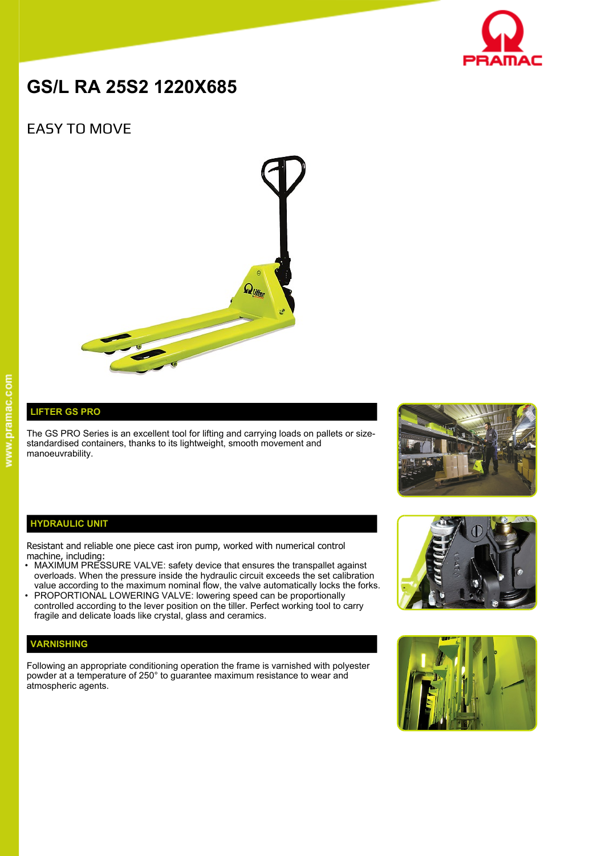

# **GS/L RA 25S2 1220X685**

## EASY TO MOVE



## **LIFTER GS PRO**

The GS PRO Series is an excellent tool for lifting and carrying loads on pallets or sizestandardised containers, thanks to its lightweight, smooth movement and manoeuvrability.



#### **HYDRAULIC UNIT**

Resistant and reliable one piece cast iron pump, worked with numerical control machine, including:

- MAXIMUM PRESSURE VALVE: safety device that ensures the transpallet against overloads. When the pressure inside the hydraulic circuit exceeds the set calibration value according to the maximum nominal flow, the valve automatically locks the forks.
- PROPORTIONAL LOWERING VALVE: lowering speed can be proportionally controlled according to the lever position on the tiller. Perfect working tool to carry fragile and delicate loads like crystal, glass and ceramics.

### **VARNISHING**

Following an appropriate conditioning operation the frame is varnished with polyester powder at a temperature of 250° to guarantee maximum resistance to wear and atmospheric agents.



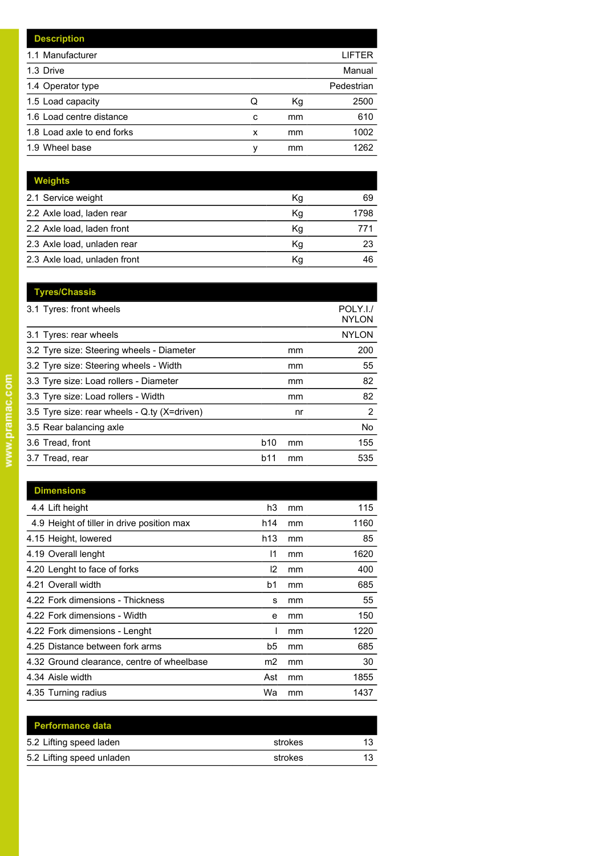| <b>Description</b>         |   |    |            |
|----------------------------|---|----|------------|
| 1.1 Manufacturer           |   |    | LIFTER     |
| 1.3 Drive                  |   |    | Manual     |
| 1.4 Operator type          |   |    | Pedestrian |
| 1.5 Load capacity          | Q | Кg | 2500       |
| 1.6 Load centre distance   | c | mm | 610        |
| 1.8 Load axle to end forks | x | mm | 1002       |
| 1.9 Wheel base             | v | mm | 1262       |

| <b>Weights</b>               |    |      |
|------------------------------|----|------|
| 2.1 Service weight           | Кg | 69   |
| 2.2 Axle load, laden rear    | Kg | 1798 |
| 2.2 Axle load, laden front   | Kg | 771  |
| 2.3 Axle load, unladen rear  | Kq | 23   |
| 2.3 Axle load, unladen front | Kq | 46   |

|            |    | POLY.I./<br><b>NYLON</b> |
|------------|----|--------------------------|
|            |    | <b>NYLON</b>             |
|            | mm | 200                      |
|            | mm | 55                       |
|            | mm | 82                       |
|            | mm | 82                       |
|            | nr | 2                        |
|            |    | No                       |
| <b>b10</b> | mm | 155                      |
| b11        | mm | 535                      |
|            |    |                          |

| <b>Dimensions</b>                          |                |    |      |
|--------------------------------------------|----------------|----|------|
| 4.4 Lift height                            | h3             | mm | 115  |
| 4.9 Height of tiller in drive position max | h14            | mm | 1160 |
| 4.15 Height, lowered                       | h13            | mm | 85   |
| 4.19 Overall lenght                        | 11             | mm | 1620 |
| 4.20 Lenght to face of forks               | 12             | mm | 400  |
| 4.21 Overall width                         | b <sub>1</sub> | mm | 685  |
| 4.22 Fork dimensions - Thickness           | s              | mm | 55   |
| 4.22 Fork dimensions - Width               | e              | mm | 150  |
| 4.22 Fork dimensions - Lenght              |                | mm | 1220 |
| 4.25 Distance between fork arms            | b5             | mm | 685  |
| 4.32 Ground clearance, centre of wheelbase | m2             | mm | 30   |
| 4.34 Aisle width                           | Ast            | mm | 1855 |
| 4.35 Turning radius                        | Wa             | mm | 1437 |

| <b>Performance data</b>   |         |    |
|---------------------------|---------|----|
| 5.2 Lifting speed laden   | strokes | 13 |
| 5.2 Lifting speed unladen | strokes | 13 |
|                           |         |    |